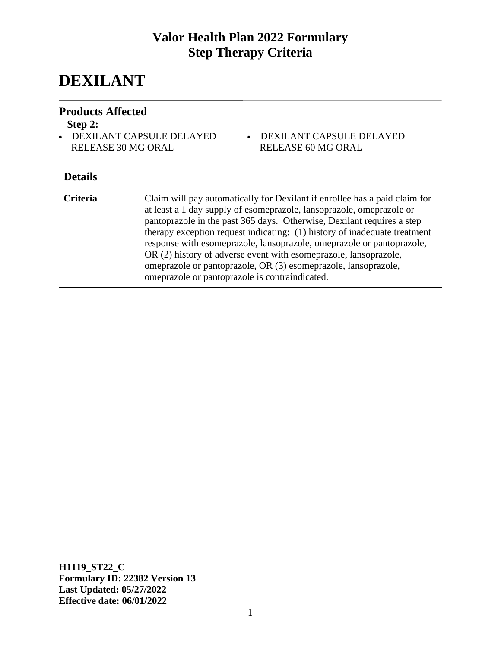# **DEXILANT**

#### **Products Affected**

#### **Step 2:**

- DEXILANT CAPSULE DELAYED RELEASE 30 MG ORAL
- DEXILANT CAPSULE DELAYED RELEASE 60 MG ORAL

## **Details**

| <b>Criteria</b> | Claim will pay automatically for Dexilant if enrollee has a paid claim for<br>at least a 1 day supply of esomeprazole, lansoprazole, omeprazole or<br>pantoprazole in the past 365 days. Otherwise, Dexilant requires a step<br>therapy exception request indicating: (1) history of inadequate treatment<br>response with esomeprazole, lansoprazole, omeprazole or pantoprazole,<br>OR (2) history of adverse event with esomeprazole, lansoprazole,<br>omeprazole or pantoprazole, OR (3) esomeprazole, lansoprazole,<br>omeprazole or pantoprazole is contraindicated. |
|-----------------|----------------------------------------------------------------------------------------------------------------------------------------------------------------------------------------------------------------------------------------------------------------------------------------------------------------------------------------------------------------------------------------------------------------------------------------------------------------------------------------------------------------------------------------------------------------------------|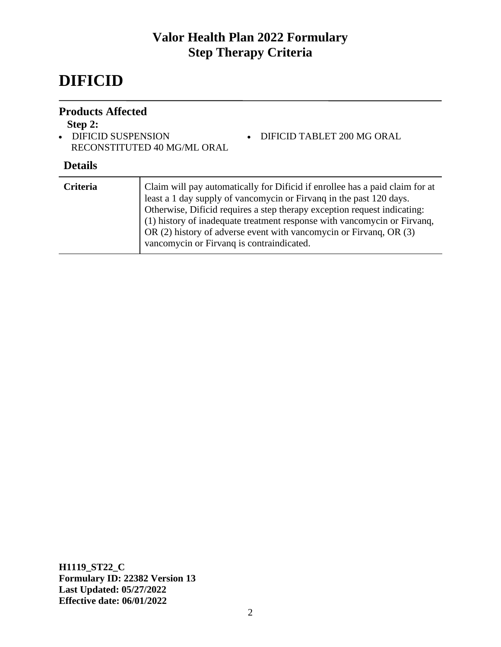# **DIFICID**

#### **Products Affected**

#### **Step 2:**

• DIFICID SUSPENSION RECONSTITUTED 40 MG/ML ORAL

#### **Details**

| <b>Criteria</b> | Claim will pay automatically for Dificid if enrollee has a paid claim for at<br>least a 1 day supply of vancomycin or Firvang in the past 120 days.<br>Otherwise, Dificid requires a step therapy exception request indicating:<br>(1) history of inadequate treatment response with vancomycin or Firvanq,<br>OR (2) history of adverse event with vancomycin or Firvang, OR (3)<br>vancomycin or Firvanq is contraindicated. |
|-----------------|--------------------------------------------------------------------------------------------------------------------------------------------------------------------------------------------------------------------------------------------------------------------------------------------------------------------------------------------------------------------------------------------------------------------------------|
|                 |                                                                                                                                                                                                                                                                                                                                                                                                                                |

• DIFICID TABLET 200 MG ORAL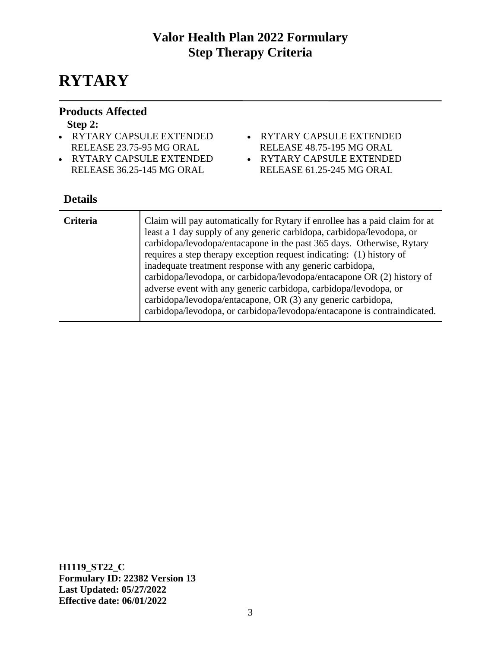# **RYTARY**

### **Products Affected**

#### **Step 2:**

- RYTARY CAPSULE EXTENDED RELEASE 23.75-95 MG ORAL
- RYTARY CAPSULE EXTENDED RELEASE 36.25-145 MG ORAL
- RYTARY CAPSULE EXTENDED
	- RELEASE 48.75-195 MG ORAL
- RYTARY CAPSULE EXTENDED
- RELEASE 61.25-245 MG ORAL

## **Details**

| <b>Criteria</b> | Claim will pay automatically for Rytary if enrollee has a paid claim for at<br>least a 1 day supply of any generic carbidopa, carbidopa/levodopa, or<br>carbidopa/levodopa/entacapone in the past 365 days. Otherwise, Rytary<br>requires a step therapy exception request indicating: (1) history of<br>inadequate treatment response with any generic carbidopa,<br>carbidopa/levodopa, or carbidopa/levodopa/entacapone OR (2) history of<br>adverse event with any generic carbidopa, carbidopa/levodopa, or<br>carbidopa/levodopa/entacapone, OR (3) any generic carbidopa,<br>carbidopa/levodopa, or carbidopa/levodopa/entacapone is contraindicated. |
|-----------------|--------------------------------------------------------------------------------------------------------------------------------------------------------------------------------------------------------------------------------------------------------------------------------------------------------------------------------------------------------------------------------------------------------------------------------------------------------------------------------------------------------------------------------------------------------------------------------------------------------------------------------------------------------------|
|-----------------|--------------------------------------------------------------------------------------------------------------------------------------------------------------------------------------------------------------------------------------------------------------------------------------------------------------------------------------------------------------------------------------------------------------------------------------------------------------------------------------------------------------------------------------------------------------------------------------------------------------------------------------------------------------|